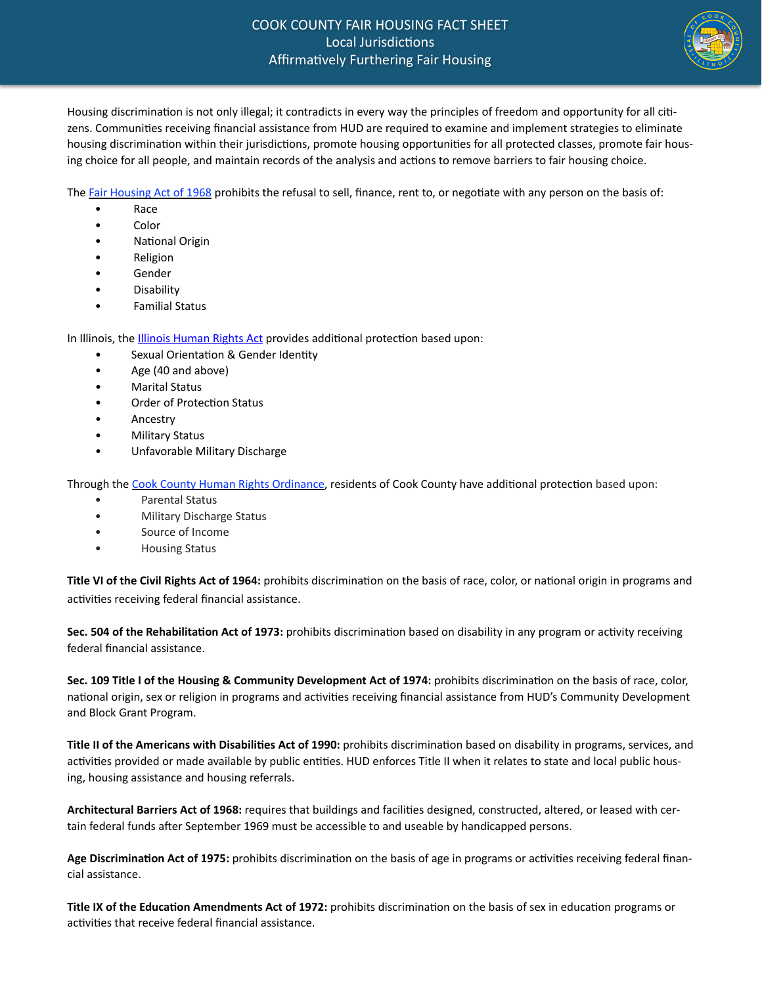

Housing discrimination is not only illegal; it contradicts in every way the principles of freedom and opportunity for all citizens. Communities receiving financial assistance from HUD are required to examine and implement strategies to eliminate housing discrimination within their jurisdictions, promote housing opportunities for all protected classes, promote fair housing choice for all people, and maintain records of the analysis and actions to remove barriers to fair housing choice.

The Fair Housing Act of 1968 prohibits the refusal to sell, finance, rent to, or negotiate with any person on the basis of:

- Race
- Color
- **National Origin**
- **Religion**
- **Gender**
- **Disability**
- **Familial Status**

In Illinois, the Illinois Human Rights Act provides additional protection based upon:

- Sexual Orientation & Gender Identity
- Age (40 and above)
- **Marital Status**
- Order of Protection Status
- **Ancestry**
- Military Status
- Unfavorable Military Discharge

Through the Cook County Human Rights Ordinance, residents of Cook County have additional protection based upon:

- Parental Status
- Military Discharge Status
- Source of Income
- Housing Status

Title VI of the Civil Rights Act of 1964: prohibits discrimination on the basis of race, color, or national origin in programs and activities receiving federal financial assistance.

**Sec. 504 of the Rehabilitation Act of 1973:** prohibits discrimination based on disability in any program or activity receiving federal financial assistance.

Sec. 109 Title I of the Housing & Community Development Act of 1974: prohibits discrimination on the basis of race, color, national origin, sex or religion in programs and activities receiving financial assistance from HUD's Community Development and Block Grant Program.

**Title II of the Americans with Disabilities Act of 1990:** prohibits discrimination based on disability in programs, services, and activities provided or made available by public entities. HUD enforces Title II when it relates to state and local public housing, housing assistance and housing referrals.

Architectural Barriers Act of 1968: requires that buildings and facilities designed, constructed, altered, or leased with certain federal funds after September 1969 must be accessible to and useable by handicapped persons.

Age Discrimination Act of 1975: prohibits discrimination on the basis of age in programs or activities receiving federal financial assistance.

Title IX of the Education Amendments Act of 1972: prohibits discrimination on the basis of sex in education programs or activities that receive federal financial assistance.